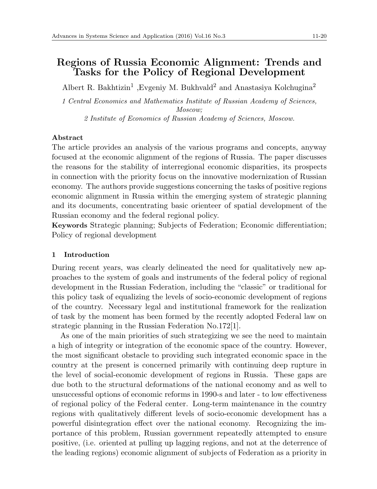# **Regions of Russia Economic Alignment: Trends and Tasks for the Policy of Regional Development**

Albert R. Bakhtizin<sup>1</sup> , Evgeniy M. Bukhvald<sup>2</sup> and Anastasiya Kolchugina<sup>2</sup>

*1 Central Economics and Mathematics Institute of Russian Academy of Sciences, Moscow; 2 Institute of Economics of Russian Academy of Sciences, Moscow.*

## **Abstract**

The article provides an analysis of the various programs and concepts, anyway focused at the economic alignment of the regions of Russia. The paper discusses the reasons for the stability of interregional economic disparities, its prospects in connection with the priority focus on the innovative modernization of Russian economy. The authors provide suggestions concerning the tasks of positive regions economic alignment in Russia within the emerging system of strategic planning and its documents, concentrating basic orienteer of spatial development of the Russian economy and the federal regional policy.

**Keywords** Strategic planning; Subjects of Federation; Economic differentiation; Policy of regional development

## **1 Introduction**

During recent years, was clearly delineated the need for qualitatively new approaches to the system of goals and instruments of the federal policy of regional development in the Russian Federation, including the "classic" or traditional for this policy task of equalizing the levels of socio-economic development of regions of the country. Necessary legal and institutional framework for the realization of task by the moment has been formed by the recently adopted Federal law on strategic planning in the Russian Federation No.172[1].

As one of the main priorities of such strategizing we see the need to maintain a high of integrity or integration of the economic space of the country. However, the most significant obstacle to providing such integrated economic space in the country at the present is concerned primarily with continuing deep rupture in the level of social-economic development of regions in Russia. These gaps are due both to the structural deformations of the national economy and as well to unsuccessful options of economic reforms in 1990-s and later - to low effectiveness of regional policy of the Federal center. Long-term maintenance in the country regions with qualitatively different levels of socio-economic development has a powerful disintegration effect over the national economy. Recognizing the importance of this problem, Russian government repeatedly attempted to ensure positive, (i.e. oriented at pulling up lagging regions, and not at the deterrence of the leading regions) economic alignment of subjects of Federation as a priority in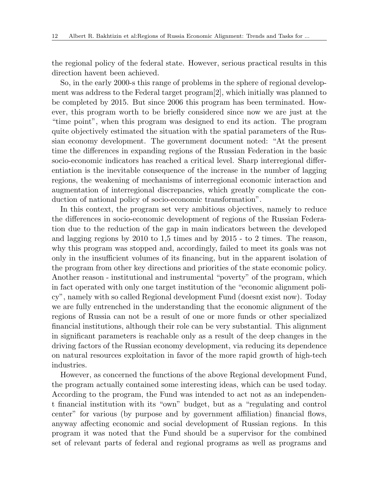the regional policy of the federal state. However, serious practical results in this direction havent been achieved.

So, in the early 2000-s this range of problems in the sphere of regional development was address to the Federal target program[2], which initially was planned to be completed by 2015. But since 2006 this program has been terminated. However, this program worth to be briefly considered since now we are just at the "time point", when this program was designed to end its action. The program quite objectively estimated the situation with the spatial parameters of the Russian economy development. The government document noted: "At the present time the differences in expanding regions of the Russian Federation in the basic socio-economic indicators has reached a critical level. Sharp interregional differentiation is the inevitable consequence of the increase in the number of lagging regions, the weakening of mechanisms of interregional economic interaction and augmentation of interregional discrepancies, which greatly complicate the conduction of national policy of socio-economic transformation".

In this context, the program set very ambitious objectives, namely to reduce the differences in socio-economic development of regions of the Russian Federation due to the reduction of the gap in main indicators between the developed and lagging regions by 2010 to 1,5 times and by 2015 - to 2 times. The reason, why this program was stopped and, accordingly, failed to meet its goals was not only in the insufficient volumes of its financing, but in the apparent isolation of the program from other key directions and priorities of the state economic policy. Another reason - institutional and instrumental "poverty" of the program, which in fact operated with only one target institution of the "economic alignment policy", namely with so called Regional development Fund (doesnt exist now). Today we are fully entrenched in the understanding that the economic alignment of the regions of Russia can not be a result of one or more funds or other specialized financial institutions, although their role can be very substantial. This alignment in significant parameters is reachable only as a result of the deep changes in the driving factors of the Russian economy development, via reducing its dependence on natural resources exploitation in favor of the more rapid growth of high-tech industries.

However, as concerned the functions of the above Regional development Fund, the program actually contained some interesting ideas, which can be used today. According to the program, the Fund was intended to act not as an independent financial institution with its "own" budget, but as a "regulating and control center" for various (by purpose and by government affiliation) financial flows, anyway affecting economic and social development of Russian regions. In this program it was noted that the Fund should be a supervisor for the combined set of relevant parts of federal and regional programs as well as programs and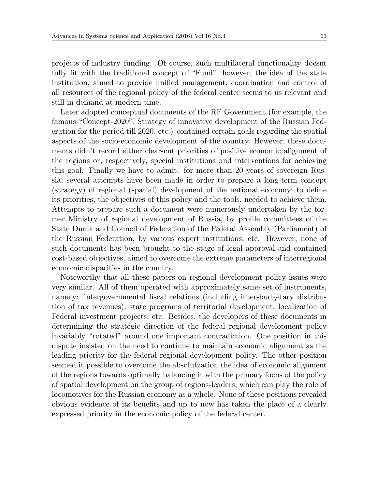projects of industry funding. Of course, such multilateral functionality doesnt fully fit with the traditional concept of "Fund", however, the idea of the state institution, aimed to provide unified management, coordination and control of all resources of the regional policy of the federal center seems to us relevant and still in demand at modern time.

Later adopted conceptual documents of the RF Government (for example, the famous "Concept-2020", Strategy of innovative development of the Russian Federation for the period till 2020, etc.) contained certain goals regarding the spatial aspects of the socio-economic development of the country. However, these documents didn't record either clear-cut priorities of positive economic alignment of the regions or, respectively, special institutions and interventions for achieving this goal. Finally we have to admit: for more than 20 years of sovereign Russia, several attempts have been made in order to prepare a long-term concept (strategy) of regional (spatial) development of the national economy; to define its priorities, the objectives of this policy and the tools, needed to achieve them. Attempts to prepare such a document were numerously undertaken by the former Ministry of regional development of Russia, by profile committees of the State Duma and Council of Federation of the Federal Assembly (Parliament) of the Russian Federation, by various expert institutions, etc. However, none of such documents has been brought to the stage of legal approval and contained cost-based objectives, aimed to overcome the extreme parameters of interregional economic disparities in the country.

Noteworthy that all these papers on regional development policy issues were very similar. All of them operated with approximately same set of instruments, namely: intergovernmental fiscal relations (including inter-budgetary distribution of tax revenues); state programs of territorial development, localization of Federal investment projects, etc. Besides, the developers of these documents in determining the strategic direction of the federal regional development policy invariably "rotated" around one important contradiction. One position in this dispute insisted on the need to continue to maintain economic alignment as the leading priority for the federal regional development policy. The other position seemed it possible to overcome the absolutzation the idea of economic alignment of the regions towards optimally balancing it with the primary focus of the policy of spatial development on the group of regions-leaders, which can play the role of locomotives for the Russian economy as a whole. None of these positions revealed obvious evidence of its benefits and up to now has taken the place of a clearly expressed priority in the economic policy of the federal center.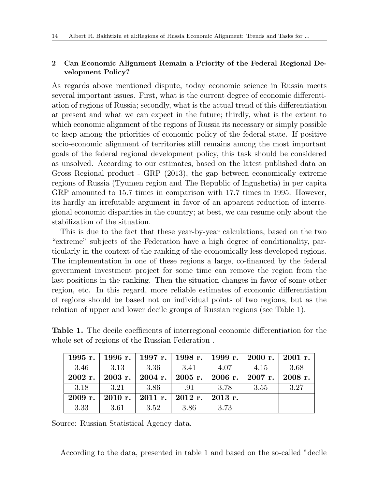# **2 Can Economic Alignment Remain a Priority of the Federal Regional Development Policy?**

As regards above mentioned dispute, today economic science in Russia meets several important issues. First, what is the current degree of economic differentiation of regions of Russia; secondly, what is the actual trend of this differentiation at present and what we can expect in the future; thirdly, what is the extent to which economic alignment of the regions of Russia its necessary or simply possible to keep among the priorities of economic policy of the federal state. If positive socio-economic alignment of territories still remains among the most important goals of the federal regional development policy, this task should be considered as unsolved. According to our estimates, based on the latest published data on Gross Regional product - GRP (2013), the gap between economically extreme regions of Russia (Tyumen region and The Republic of Ingushetia) in per capita GRP amounted to 15.7 times in comparison with 17.7 times in 1995. However, its hardly an irrefutable argument in favor of an apparent reduction of interregional economic disparities in the country; at best, we can resume only about the stabilization of the situation.

This is due to the fact that these year-by-year calculations, based on the two "extreme" subjects of the Federation have a high degree of conditionality, particularly in the context of the ranking of the economically less developed regions. The implementation in one of these regions a large, co-financed by the federal government investment project for some time can remove the region from the last positions in the ranking. Then the situation changes in favor of some other region, etc. In this regard, more reliable estimates of economic differentiation of regions should be based not on individual points of two regions, but as the relation of upper and lower decile groups of Russian regions (see Table 1).

|      | 1995 г.   1996 г.   1997 г.   1998 г.   1999 г.   2000 г.   2001 г. |        |      |      |      |      |
|------|---------------------------------------------------------------------|--------|------|------|------|------|
| 3.46 | 3.13                                                                | - 3.36 | 3.41 | 4.07 | 4.15 | 3.68 |
|      | 2002 г.   2003 г.   2004 г.   2005 г.   2006 г.   2007 г.   2008 г. |        |      |      |      |      |
| 3.18 | 3.21                                                                | - 3.86 | .91  | 3.78 | 3.55 | 3.27 |
|      | 2009 r.   2010 r.   2011 r.   2012 r.   2013 r.                     |        |      |      |      |      |
| 3.33 | -3.61                                                               | 3.52   | 3.86 | 3.73 |      |      |

**Table 1.** The decile coefficients of interregional economic differentiation for the whole set of regions of the Russian Federation .

Source: Russian Statistical Agency data.

According to the data, presented in table 1 and based on the so-called "decile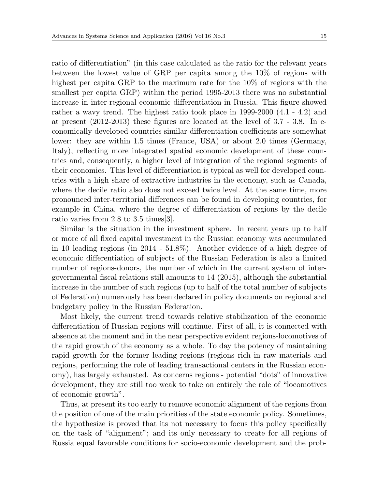ratio of differentiation" (in this case calculated as the ratio for the relevant years between the lowest value of GRP per capita among the 10% of regions with highest per capita GRP to the maximum rate for the 10% of regions with the smallest per capita GRP) within the period 1995-2013 there was no substantial increase in inter-regional economic differentiation in Russia. This figure showed rather a wavy trend. The highest ratio took place in 1999-2000 (4.1 - 4.2) and at present (2012-2013) these figures are located at the level of 3.7 - 3.8. In economically developed countries similar differentiation coefficients are somewhat lower: they are within 1.5 times (France, USA) or about 2.0 times (Germany, Italy), reflecting more integrated spatial economic development of these countries and, consequently, a higher level of integration of the regional segments of their economies. This level of differentiation is typical as well for developed countries with a high share of extractive industries in the economy, such as Canada, where the decile ratio also does not exceed twice level. At the same time, more pronounced inter-territorial differences can be found in developing countries, for example in China, where the degree of differentiation of regions by the decile ratio varies from 2.8 to 3.5 times[3].

Similar is the situation in the investment sphere. In recent years up to half or more of all fixed capital investment in the Russian economy was accumulated in 10 leading regions (in 2014 - 51.8%). Another evidence of a high degree of economic differentiation of subjects of the Russian Federation is also a limited number of regions-donors, the number of which in the current system of intergovernmental fiscal relations still amounts to 14 (2015), although the substantial increase in the number of such regions (up to half of the total number of subjects of Federation) numerously has been declared in policy documents on regional and budgetary policy in the Russian Federation.

Most likely, the current trend towards relative stabilization of the economic differentiation of Russian regions will continue. First of all, it is connected with absence at the moment and in the near perspective evident regions-locomotives of the rapid growth of the economy as a whole. To day the potency of maintaining rapid growth for the former leading regions (regions rich in raw materials and regions, performing the role of leading transactional centers in the Russian economy), has largely exhausted. As concerns regions - potential "dots" of innovative development, they are still too weak to take on entirely the role of "locomotives of economic growth".

Thus, at present its too early to remove economic alignment of the regions from the position of one of the main priorities of the state economic policy. Sometimes, the hypothesize is proved that its not necessary to focus this policy specifically on the task of "alignment"; and its only necessary to create for all regions of Russia equal favorable conditions for socio-economic development and the prob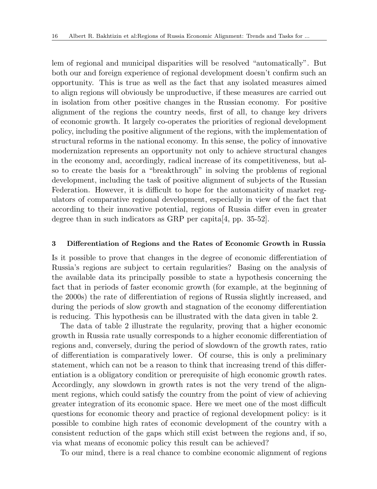lem of regional and municipal disparities will be resolved "automatically". But both our and foreign experience of regional development doesn't confirm such an opportunity. This is true as well as the fact that any isolated measures aimed to align regions will obviously be unproductive, if these measures are carried out in isolation from other positive changes in the Russian economy. For positive alignment of the regions the country needs, first of all, to change key drivers of economic growth. It largely co-operates the priorities of regional development policy, including the positive alignment of the regions, with the implementation of structural reforms in the national economy. In this sense, the policy of innovative modernization represents an opportunity not only to achieve structural changes in the economy and, accordingly, radical increase of its competitiveness, but also to create the basis for a "breakthrough" in solving the problems of regional development, including the task of positive alignment of subjects of the Russian Federation. However, it is difficult to hope for the automaticity of market regulators of comparative regional development, especially in view of the fact that according to their innovative potential, regions of Russia differ even in greater degree than in such indicators as GRP per capita[4, pp. 35-52].

#### **3 Differentiation of Regions and the Rates of Economic Growth in Russia**

Is it possible to prove that changes in the degree of economic differentiation of Russia's regions are subject to certain regularities? Basing on the analysis of the available data its principally possible to state a hypothesis concerning the fact that in periods of faster economic growth (for example, at the beginning of the 2000s) the rate of differentiation of regions of Russia slightly increased, and during the periods of slow growth and stagnation of the economy differentiation is reducing. This hypothesis can be illustrated with the data given in table 2.

The data of table 2 illustrate the regularity, proving that a higher economic growth in Russia rate usually corresponds to a higher economic differentiation of regions and, conversely, during the period of slowdown of the growth rates, ratio of differentiation is comparatively lower. Of course, this is only a preliminary statement, which can not be a reason to think that increasing trend of this differentiation is a obligatory condition or prerequisite of high economic growth rates. Accordingly, any slowdown in growth rates is not the very trend of the alignment regions, which could satisfy the country from the point of view of achieving greater integration of its economic space. Here we meet one of the most difficult questions for economic theory and practice of regional development policy: is it possible to combine high rates of economic development of the country with a consistent reduction of the gaps which still exist between the regions and, if so, via what means of economic policy this result can be achieved?

To our mind, there is a real chance to combine economic alignment of regions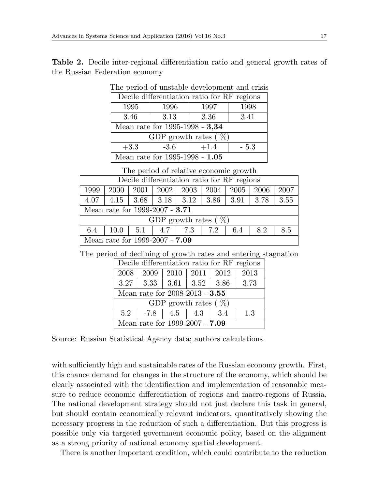**Table 2.** Decile inter-regional differentiation ratio and general growth rates of the Russian Federation economy

| Decile differentiation ratio for RF regions |      |        |       |  |  |  |  |
|---------------------------------------------|------|--------|-------|--|--|--|--|
| 1995                                        | 1996 | 1997   | 1998  |  |  |  |  |
| 3.46                                        | 3.13 | 3.36   | 3.41  |  |  |  |  |
| Mean rate for 1995-1998 - 3,34              |      |        |       |  |  |  |  |
| GDP growth rates $(\%)$                     |      |        |       |  |  |  |  |
| $+3.3$<br>$-3.6$                            |      | $+1.4$ | - 5.3 |  |  |  |  |
| Mean rate for 1995-1998 - $1.05\,$          |      |        |       |  |  |  |  |

The period of unstable development and crisis

The period of relative economic growth

| Decile differentiation ratio for RF regions |      |        |                          |      |      |      |      |      |
|---------------------------------------------|------|--------|--------------------------|------|------|------|------|------|
| 1999                                        | 2000 | 2001   | 2002                     | 2003 | 2004 | 2005 | 2006 | 2007 |
| 4.07                                        | 4.15 |        | $3.68$   $3.18$   $3.12$ |      | 3.86 | 3.91 | 3.78 | 3.55 |
| Mean rate for 1999-2007 - 3.71              |      |        |                          |      |      |      |      |      |
| GDP growth rates $(\%)$                     |      |        |                          |      |      |      |      |      |
| 6.4                                         | 10.0 | 1, 5.1 | 4.7   7.3                |      | 7.2  | 6.4  | 8.2  | 8.5  |
| Mean rate for 1999-2007 - 7.09              |      |        |                          |      |      |      |      |      |

The period of declining of growth rates and entering stagnation

| Decile differentiation ratio for RF regions |                                            |     |                       |      |      |  |  |
|---------------------------------------------|--------------------------------------------|-----|-----------------------|------|------|--|--|
| 2008                                        | 2009                                       |     | $2010 \mid 2011 \mid$ | 2012 | 2013 |  |  |
|                                             | $3.27$   $3.33$   $3.61$   $3.52$   $3.86$ |     |                       |      | 3.73 |  |  |
| Mean rate for 2008-2013 - 3.55              |                                            |     |                       |      |      |  |  |
| GDP growth rates $(\%)$                     |                                            |     |                       |      |      |  |  |
| 5.2                                         | $-7.8$                                     | 4.5 | 4.3                   | -3.4 | 1.3  |  |  |
| Mean rate for 1999-2007 - $7.09$            |                                            |     |                       |      |      |  |  |

Source: Russian Statistical Agency data; authors calculations.

with sufficiently high and sustainable rates of the Russian economy growth. First, this chance demand for changes in the structure of the economy, which should be clearly associated with the identification and implementation of reasonable measure to reduce economic differentiation of regions and macro-regions of Russia. The national development strategy should not just declare this task in general, but should contain economically relevant indicators, quantitatively showing the necessary progress in the reduction of such a differentiation. But this progress is possible only via targeted government economic policy, based on the alignment as a strong priority of national economy spatial development.

There is another important condition, which could contribute to the reduction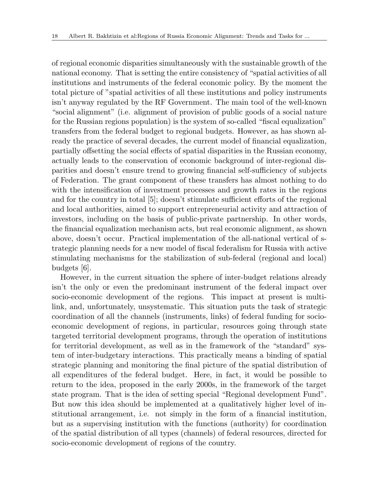of regional economic disparities simultaneously with the sustainable growth of the national economy. That is setting the entire consistency of "spatial activities of all institutions and instruments of the federal economic policy. By the moment the total picture of "spatial activities of all these institutions and policy instruments isn't anyway regulated by the RF Government. The main tool of the well-known "social alignment" (i.e. alignment of provision of public goods of a social nature for the Russian regions population) is the system of so-called "fiscal equalization" transfers from the federal budget to regional budgets. However, as has shown already the practice of several decades, the current model of financial equalization, partially offsetting the social effects of spatial disparities in the Russian economy, actually leads to the conservation of economic background of inter-regional disparities and doesn't ensure trend to growing financial self-sufficiency of subjects of Federation. The grant component of these transfers has almost nothing to do with the intensification of investment processes and growth rates in the regions and for the country in total [5]; doesn't stimulate sufficient efforts of the regional and local authorities, aimed to support entrepreneurial activity and attraction of investors, including on the basis of public-private partnership. In other words, the financial equalization mechanism acts, but real economic alignment, as shown above, doesn't occur. Practical implementation of the all-national vertical of strategic planning needs for a new model of fiscal federalism for Russia with active stimulating mechanisms for the stabilization of sub-federal (regional and local) budgets [6].

However, in the current situation the sphere of inter-budget relations already isn't the only or even the predominant instrument of the federal impact over socio-economic development of the regions. This impact at present is multilink, and, unfortunately, unsystematic. This situation puts the task of strategic coordination of all the channels (instruments, links) of federal funding for socioeconomic development of regions, in particular, resources going through state targeted territorial development programs, through the operation of institutions for territorial development, as well as in the framework of the "standard" system of inter-budgetary interactions. This practically means a binding of spatial strategic planning and monitoring the final picture of the spatial distribution of all expenditures of the federal budget. Here, in fact, it would be possible to return to the idea, proposed in the early 2000s, in the framework of the target state program. That is the idea of setting special "Regional development Fund". But now this idea should be implemented at a qualitatively higher level of institutional arrangement, i.e. not simply in the form of a financial institution, but as a supervising institution with the functions (authority) for coordination of the spatial distribution of all types (channels) of federal resources, directed for socio-economic development of regions of the country.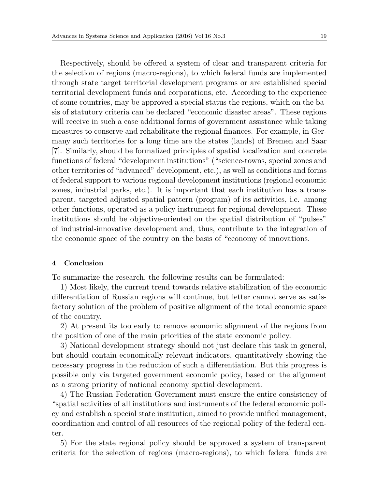Respectively, should be offered a system of clear and transparent criteria for the selection of regions (macro-regions), to which federal funds are implemented through state target territorial development programs or are established special territorial development funds and corporations, etc. According to the experience of some countries, may be approved a special status the regions, which on the basis of statutory criteria can be declared "economic disaster areas". These regions will receive in such a case additional forms of government assistance while taking measures to conserve and rehabilitate the regional finances. For example, in Germany such territories for a long time are the states (lands) of Bremen and Saar [7]. Similarly, should be formalized principles of spatial localization and concrete functions of federal "development institutions" ("science-towns, special zones and other territories of "advanced" development, etc.), as well as conditions and forms of federal support to various regional development institutions (regional economic zones, industrial parks, etc.). It is important that each institution has a transparent, targeted adjusted spatial pattern (program) of its activities, i.e. among other functions, operated as a policy instrument for regional development. These institutions should be objective-oriented on the spatial distribution of "pulses" of industrial-innovative development and, thus, contribute to the integration of the economic space of the country on the basis of "economy of innovations.

## **4 Conclusion**

To summarize the research, the following results can be formulated:

1) Most likely, the current trend towards relative stabilization of the economic differentiation of Russian regions will continue, but letter cannot serve as satisfactory solution of the problem of positive alignment of the total economic space of the country.

2) At present its too early to remove economic alignment of the regions from the position of one of the main priorities of the state economic policy.

3) National development strategy should not just declare this task in general, but should contain economically relevant indicators, quantitatively showing the necessary progress in the reduction of such a differentiation. But this progress is possible only via targeted government economic policy, based on the alignment as a strong priority of national economy spatial development.

4) The Russian Federation Government must ensure the entire consistency of "spatial activities of all institutions and instruments of the federal economic policy and establish a special state institution, aimed to provide unified management, coordination and control of all resources of the regional policy of the federal center.

5) For the state regional policy should be approved a system of transparent criteria for the selection of regions (macro-regions), to which federal funds are